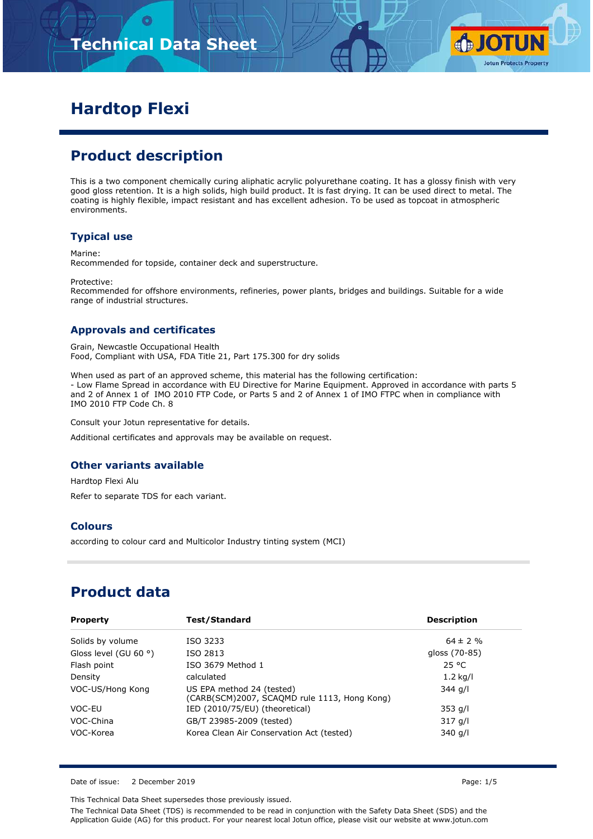# **Technical Data Sheet**



# **Hardtop Flexi**

# **Product description**

This is a two component chemically curing aliphatic acrylic polyurethane coating. It has a glossy finish with very good gloss retention. It is a high solids, high build product. It is fast drying. It can be used direct to metal. The coating is highly flexible, impact resistant and has excellent adhesion. To be used as topcoat in atmospheric environments.

### **Typical use**

Marine:

Recommended for topside, container deck and superstructure.

Protective:

Recommended for offshore environments, refineries, power plants, bridges and buildings. Suitable for a wide range of industrial structures.

### **Approvals and certificates**

Grain, Newcastle Occupational Health Food, Compliant with USA, FDA Title 21, Part 175.300 for dry solids

When used as part of an approved scheme, this material has the following certification: - Low Flame Spread in accordance with EU Directive for Marine Equipment. Approved in accordance with parts 5 and 2 of Annex 1 of IMO 2010 FTP Code, or Parts 5 and 2 of Annex 1 of IMO FTPC when in compliance with IMO 2010 FTP Code Ch. 8

Consult your Jotun representative for details.

Additional certificates and approvals may be available on request.

### **Other variants available**

Hardtop Flexi Alu

Refer to separate TDS for each variant.

#### **Colours**

according to colour card and Multicolor Industry tinting system (MCI)

## **Product data**

| <b>Property</b>                | Test/Standard                                                             | <b>Description</b> |
|--------------------------------|---------------------------------------------------------------------------|--------------------|
| Solids by volume               | ISO 3233                                                                  | $64 \pm 2 \%$      |
| Gloss level (GU 60 $\degree$ ) | ISO 2813                                                                  | gloss (70-85)      |
| Flash point                    | ISO 3679 Method 1                                                         | 25 °C              |
| Density                        | calculated                                                                | $1.2$ kg/l         |
| VOC-US/Hong Kong               | US EPA method 24 (tested)<br>(CARB(SCM)2007, SCAQMD rule 1113, Hong Kong) | 344 g/l            |
| VOC-EU                         | IED (2010/75/EU) (theoretical)                                            | $353$ g/l          |
| VOC-China                      | GB/T 23985-2009 (tested)                                                  | $317$ g/l          |
| VOC-Korea                      | Korea Clean Air Conservation Act (tested)                                 | 340 g/l            |

Date of issue: 2 December 2019 **Page: 1/5** Page: 1/5

This Technical Data Sheet supersedes those previously issued.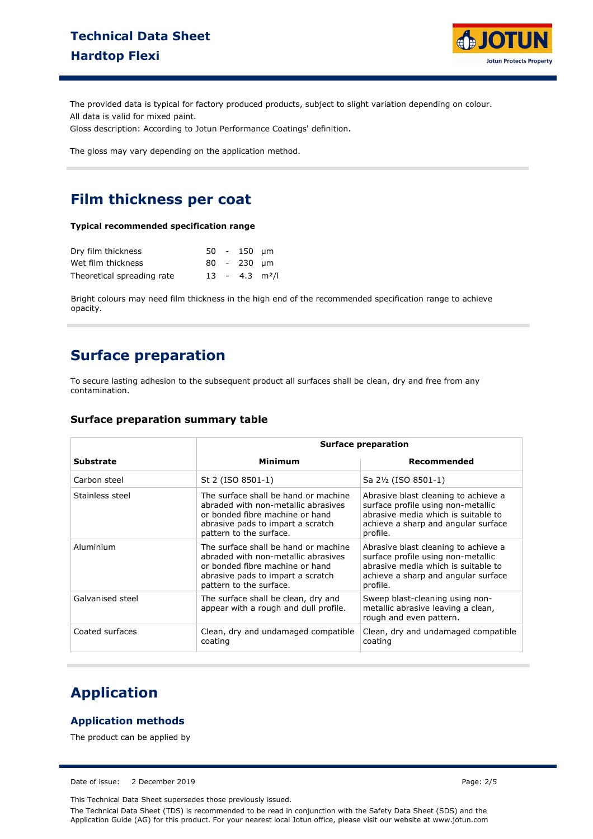

The provided data is typical for factory produced products, subject to slight variation depending on colour. All data is valid for mixed paint.

Gloss description: According to Jotun Performance Coatings' definition.

The gloss may vary depending on the application method.

## **Film thickness per coat**

#### **Typical recommended specification range**

| Dry film thickness         |  | 50 - 150 um                  |  |
|----------------------------|--|------------------------------|--|
| Wet film thickness         |  | $80 - 230$ um                |  |
| Theoretical spreading rate |  | $13 - 4.3$ m <sup>2</sup> /l |  |

Bright colours may need film thickness in the high end of the recommended specification range to achieve opacity.

## **Surface preparation**

To secure lasting adhesion to the subsequent product all surfaces shall be clean, dry and free from any contamination.

#### **Surface preparation summary table**

|                  | Surface preparation                                                                                                                                                            |                                                                                                                                                                      |  |
|------------------|--------------------------------------------------------------------------------------------------------------------------------------------------------------------------------|----------------------------------------------------------------------------------------------------------------------------------------------------------------------|--|
| <b>Substrate</b> | Minimum                                                                                                                                                                        | Recommended                                                                                                                                                          |  |
| Carbon steel     | St 2 (ISO 8501-1)                                                                                                                                                              | Sa 2½ (ISO 8501-1)                                                                                                                                                   |  |
| Stainless steel  | The surface shall be hand or machine<br>abraded with non-metallic abrasives<br>or bonded fibre machine or hand<br>abrasive pads to impart a scratch<br>pattern to the surface. | Abrasive blast cleaning to achieve a<br>surface profile using non-metallic<br>abrasive media which is suitable to<br>achieve a sharp and angular surface<br>profile. |  |
| Aluminium        | The surface shall be hand or machine<br>abraded with non-metallic abrasives<br>or bonded fibre machine or hand<br>abrasive pads to impart a scratch<br>pattern to the surface. | Abrasive blast cleaning to achieve a<br>surface profile using non-metallic<br>abrasive media which is suitable to<br>achieve a sharp and angular surface<br>profile. |  |
| Galvanised steel | The surface shall be clean, dry and<br>appear with a rough and dull profile.                                                                                                   | Sweep blast-cleaning using non-<br>metallic abrasive leaving a clean,<br>rough and even pattern.                                                                     |  |
| Coated surfaces  | Clean, dry and undamaged compatible<br>coating                                                                                                                                 | Clean, dry and undamaged compatible<br>coating                                                                                                                       |  |

## **Application**

### **Application methods**

The product can be applied by

Date of issue: 2 December 2019 **Page: 2/5** 

This Technical Data Sheet supersedes those previously issued.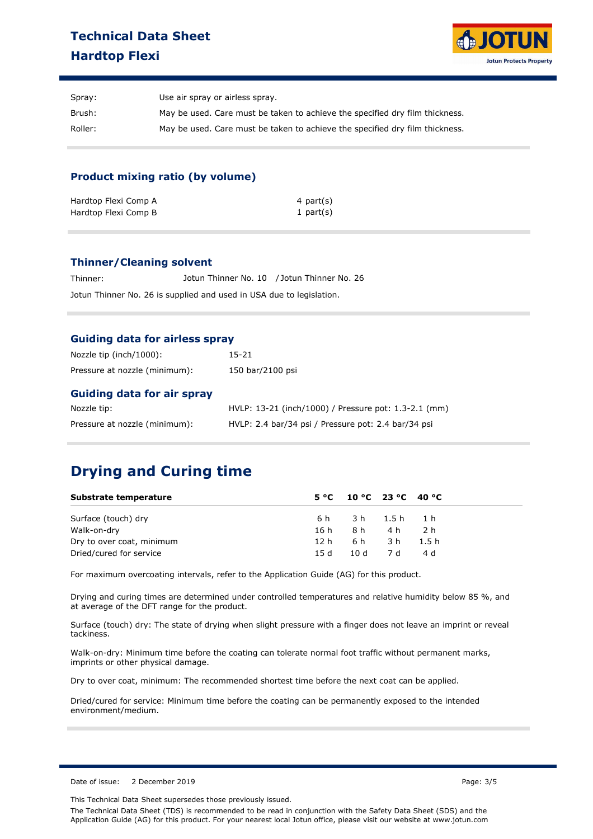## **Technical Data Sheet Hardtop Flexi**



| Spray:  | Use air spray or airless spray.                                              |
|---------|------------------------------------------------------------------------------|
| Brush:  | May be used. Care must be taken to achieve the specified dry film thickness. |
| Roller: | May be used. Care must be taken to achieve the specified dry film thickness. |

### **Product mixing ratio (by volume)**

| Hardtop Flexi Comp A | 4 part(s)    |
|----------------------|--------------|
| Hardtop Flexi Comp B | 1 part $(s)$ |

#### **Thinner/Cleaning solvent**

Thinner: Jotun Thinner No. 10 / Jotun Thinner No. 26 Jotun Thinner No. 26 is supplied and used in USA due to legislation.

#### **Guiding data for airless spray**

| Nozzle tip (inch/1000):           | 15-21                                                |
|-----------------------------------|------------------------------------------------------|
| Pressure at nozzle (minimum):     | 150 bar/2100 psi                                     |
| <b>Guiding data for air spray</b> |                                                      |
| Nozzle tip:                       | HVLP: 13-21 (inch/1000) / Pressure pot: 1.3-2.1 (mm) |
| Pressure at nozzle (minimum):     | HVLP: 2.4 bar/34 psi / Pressure pot: 2.4 bar/34 psi  |

# **Drying and Curing time**

| Substrate temperature     |      | $5^{\circ}$ C 10 °C 23 °C 40 °C |           |       |
|---------------------------|------|---------------------------------|-----------|-------|
| Surface (touch) dry       | 6 h  | 3h 1.5h 1.h                     |           |       |
| Walk-on-dry               | 16 h |                                 | 8 h4 h    | 2 h   |
| Dry to over coat, minimum | 12 h |                                 | 6 h3h     | 1.5 h |
| Dried/cured for service   | 15 d |                                 | 10d 7d 4d |       |

For maximum overcoating intervals, refer to the Application Guide (AG) for this product.

Drying and curing times are determined under controlled temperatures and relative humidity below 85 %, and at average of the DFT range for the product.

Surface (touch) dry: The state of drying when slight pressure with a finger does not leave an imprint or reveal tackiness.

Walk-on-dry: Minimum time before the coating can tolerate normal foot traffic without permanent marks, imprints or other physical damage.

Dry to over coat, minimum: The recommended shortest time before the next coat can be applied.

Dried/cured for service: Minimum time before the coating can be permanently exposed to the intended environment/medium.

Date of issue: 2 December 2019 **Page: 3/5** Page: 3/5

This Technical Data Sheet supersedes those previously issued.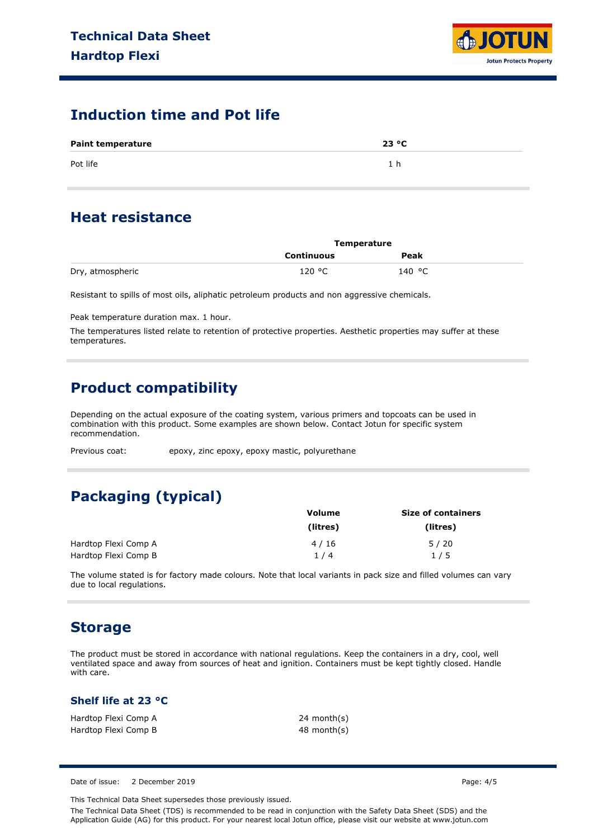

## **Induction time and Pot life**

| <b>Paint temperature</b> | 23 °C |  |
|--------------------------|-------|--|
| Pot life                 | 1 h   |  |

## **Heat resistance**

|                  | Temperature |        |  |
|------------------|-------------|--------|--|
|                  | Continuous  | Peak   |  |
| Dry, atmospheric | 120 °C      | 140 °C |  |

Resistant to spills of most oils, aliphatic petroleum products and non aggressive chemicals.

Peak temperature duration max. 1 hour.

The temperatures listed relate to retention of protective properties. Aesthetic properties may suffer at these temperatures.

# **Product compatibility**

Depending on the actual exposure of the coating system, various primers and topcoats can be used in combination with this product. Some examples are shown below. Contact Jotun for specific system recommendation.

Previous coat: epoxy, zinc epoxy, epoxy mastic, polyurethane

# **Packaging (typical)**

|                      | <b>Volume</b> | <b>Size of containers</b> |  |  |
|----------------------|---------------|---------------------------|--|--|
|                      | (litres)      | (litres)                  |  |  |
| Hardtop Flexi Comp A | 4/16          | 5/20                      |  |  |
| Hardtop Flexi Comp B | 1/4           | 1/5                       |  |  |

The volume stated is for factory made colours. Note that local variants in pack size and filled volumes can vary due to local regulations.

## **Storage**

The product must be stored in accordance with national regulations. Keep the containers in a dry, cool, well ventilated space and away from sources of heat and ignition. Containers must be kept tightly closed. Handle with care.

### **Shelf life at 23 °C**

| Hardtop Flexi Comp A | 24 month(s) |
|----------------------|-------------|
| Hardtop Flexi Comp B | 48 month(s) |

Date of issue: 2 December 2019 **Page: 4/5** Page: 4/5

This Technical Data Sheet supersedes those previously issued.